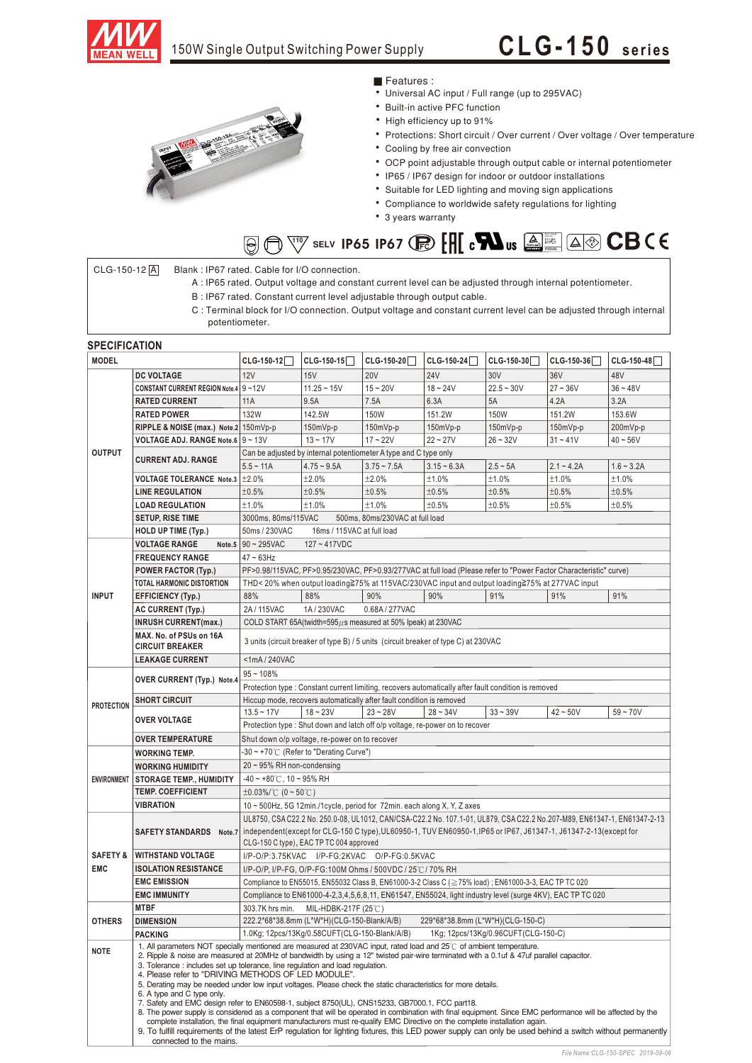

## **CLG- 1 50 <sup>s</sup> eries**



## Features :

- Universal AC input / Full range (up to 295VAC)
- Built-in active PFC function
- High efficiency up to 91%
- Protections: Short circuit / Over current / Over voltage / Over temperature
	- Cooling by free air convection
	- OCP point adjustable through output cable or internal potentiometer
	- IP65 / IP67 design for indoor or outdoor installations
	- Suitable for LED lighting and moving sign applications
	- Compliance to worldwide safety regulations for lighting
	- 3 years warranty

### **iv** selv **ip65 ip67 (p) [H] c** $\blacksquare$  **us**  $\textcircled{\tiny{2}}$  $\bigcirc$

### CLG-150-12 A Blank : IP67 rated. Cable for I/O connection.

- A : IP65 rated. Output voltage and constant current level can be adjusted through internal potentiometer.
- B : IP67 rated. Constant current level adjustable through output cable.
- C : Terminal block for I/O connection. Output voltage and constant current level can be adjusted through internal potentiometer.

### **SPECIFICATION**

| <b>MODEL</b>        |                                                                                                                                                                                                                                                                                                                                                                                                                                                                                                                                                                                                                 | $CLG-150-12$                                                                                                                                                                            | $CLG-150-15$                                  | $CLG-150-20$                                                                                   | CLG-150-24    | $CLG-150-30$                        | $CLG-150-36$ | CLG-150-48   |
|---------------------|-----------------------------------------------------------------------------------------------------------------------------------------------------------------------------------------------------------------------------------------------------------------------------------------------------------------------------------------------------------------------------------------------------------------------------------------------------------------------------------------------------------------------------------------------------------------------------------------------------------------|-----------------------------------------------------------------------------------------------------------------------------------------------------------------------------------------|-----------------------------------------------|------------------------------------------------------------------------------------------------|---------------|-------------------------------------|--------------|--------------|
|                     | <b>DC VOLTAGE</b>                                                                                                                                                                                                                                                                                                                                                                                                                                                                                                                                                                                               | 12V                                                                                                                                                                                     | 15V                                           | <b>20V</b>                                                                                     | <b>24V</b>    | 30V                                 | 36V          | 48V          |
| <b>OUTPUT</b>       | CONSTANT CURRENT REGION Note.4 9~12V                                                                                                                                                                                                                                                                                                                                                                                                                                                                                                                                                                            |                                                                                                                                                                                         | $11.25 - 15V$                                 | $15 - 20V$                                                                                     | $18 - 24V$    | $22.5 - 30V$                        | $27 - 36V$   | $36 - 48V$   |
|                     | <b>RATED CURRENT</b>                                                                                                                                                                                                                                                                                                                                                                                                                                                                                                                                                                                            | 11A                                                                                                                                                                                     | 9.5A                                          | 7.5A                                                                                           | 6.3A          | 5A                                  | 4.2A         | 3.2A         |
|                     | <b>RATED POWER</b>                                                                                                                                                                                                                                                                                                                                                                                                                                                                                                                                                                                              | 132W                                                                                                                                                                                    | 142.5W                                        | 150W                                                                                           | 151.2W        | <b>150W</b>                         | 151.2W       | 153.6W       |
|                     | RIPPLE & NOISE (max.) Note.2 150mVp-p                                                                                                                                                                                                                                                                                                                                                                                                                                                                                                                                                                           |                                                                                                                                                                                         | 150mVp-p                                      | 150mVp-p                                                                                       | 150mVp-p      | 150mVp-p                            | 150mVp-p     | 200mVp-p     |
|                     | VOLTAGE ADJ. RANGE Note.6 9~13V                                                                                                                                                                                                                                                                                                                                                                                                                                                                                                                                                                                 |                                                                                                                                                                                         | $13 - 17V$                                    | $17 - 22V$                                                                                     | $22 - 27V$    | $26 - 32V$                          | $31 - 41V$   | $40 - 56V$   |
|                     | <b>CURRENT ADJ. RANGE</b>                                                                                                                                                                                                                                                                                                                                                                                                                                                                                                                                                                                       | Can be adjusted by internal potentiometer A type and C type only                                                                                                                        |                                               |                                                                                                |               |                                     |              |              |
|                     |                                                                                                                                                                                                                                                                                                                                                                                                                                                                                                                                                                                                                 | $5.5 - 11A$                                                                                                                                                                             | $4.75 - 9.5A$                                 | $3.75 - 7.5A$                                                                                  | $3.15 - 6.3A$ | $2.5 - 5A$                          | $2.1 - 4.2A$ | $1.6 - 3.2A$ |
|                     | <b>VOLTAGE TOLERANCE Note.3</b>                                                                                                                                                                                                                                                                                                                                                                                                                                                                                                                                                                                 | ±2.0%                                                                                                                                                                                   | ±2.0%                                         | ±2.0%                                                                                          | ±1.0%         | ±1.0%                               | ±1.0%        | ±1.0%        |
|                     | <b>LINE REGULATION</b>                                                                                                                                                                                                                                                                                                                                                                                                                                                                                                                                                                                          | ±0.5%                                                                                                                                                                                   | ±0.5%                                         | ±0.5%                                                                                          | ±0.5%         | ±0.5%                               | ±0.5%        | ±0.5%        |
|                     | <b>LOAD REGULATION</b>                                                                                                                                                                                                                                                                                                                                                                                                                                                                                                                                                                                          | ±1.0%                                                                                                                                                                                   | ±1.0%                                         | ±1.0%                                                                                          | ±0.5%         | ±0.5%                               | ±0.5%        | ±0.5%        |
|                     | <b>SETUP, RISE TIME</b>                                                                                                                                                                                                                                                                                                                                                                                                                                                                                                                                                                                         | 3000ms, 80ms/115VAC<br>500ms, 80ms/230VAC at full load                                                                                                                                  |                                               |                                                                                                |               |                                     |              |              |
|                     | <b>HOLD UP TIME (Typ.)</b>                                                                                                                                                                                                                                                                                                                                                                                                                                                                                                                                                                                      | 50ms / 230VAC<br>16ms / 115VAC at full load                                                                                                                                             |                                               |                                                                                                |               |                                     |              |              |
| <b>INPUT</b>        | <b>VOLTAGE RANGE</b>                                                                                                                                                                                                                                                                                                                                                                                                                                                                                                                                                                                            | Note.5 $90 - 295$ VAC<br>$127 - 417VDC$                                                                                                                                                 |                                               |                                                                                                |               |                                     |              |              |
|                     | <b>FREQUENCY RANGE</b>                                                                                                                                                                                                                                                                                                                                                                                                                                                                                                                                                                                          | $47 \sim 63$ Hz                                                                                                                                                                         |                                               |                                                                                                |               |                                     |              |              |
|                     | <b>POWER FACTOR (Typ.)</b>                                                                                                                                                                                                                                                                                                                                                                                                                                                                                                                                                                                      | PF>0.98/115VAC, PF>0.95/230VAC, PF>0.93/277VAC at full load (Please refer to "Power Factor Characteristic" curve)                                                                       |                                               |                                                                                                |               |                                     |              |              |
|                     | <b>TOTAL HARMONIC DISTORTION</b>                                                                                                                                                                                                                                                                                                                                                                                                                                                                                                                                                                                |                                                                                                                                                                                         |                                               | THD< 20% when output loading≧75% at 115VAC/230VAC input and output loading≧75% at 277VAC input |               |                                     |              |              |
|                     | <b>EFFICIENCY (Typ.)</b>                                                                                                                                                                                                                                                                                                                                                                                                                                                                                                                                                                                        | 88%                                                                                                                                                                                     | 88%                                           | 90%                                                                                            | 90%           | 91%                                 | 91%          | 91%          |
|                     | <b>AC CURRENT (Typ.)</b>                                                                                                                                                                                                                                                                                                                                                                                                                                                                                                                                                                                        | 2A/115VAC<br>1A/230VAC<br>0.68A / 277VAC                                                                                                                                                |                                               |                                                                                                |               |                                     |              |              |
|                     | <b>INRUSH CURRENT(max.)</b>                                                                                                                                                                                                                                                                                                                                                                                                                                                                                                                                                                                     | COLD START 65A(twidth=595 $\mu$ s measured at 50% Ipeak) at 230VAC                                                                                                                      |                                               |                                                                                                |               |                                     |              |              |
|                     | MAX. No. of PSUs on 16A<br><b>CIRCUIT BREAKER</b>                                                                                                                                                                                                                                                                                                                                                                                                                                                                                                                                                               | 3 units (circuit breaker of type B) / 5 units (circuit breaker of type C) at 230VAC                                                                                                     |                                               |                                                                                                |               |                                     |              |              |
|                     | <b>LEAKAGE CURRENT</b><br><1mA/240VAC                                                                                                                                                                                                                                                                                                                                                                                                                                                                                                                                                                           |                                                                                                                                                                                         |                                               |                                                                                                |               |                                     |              |              |
| <b>PROTECTION</b>   | OVER CURRENT (Typ.) Note.4                                                                                                                                                                                                                                                                                                                                                                                                                                                                                                                                                                                      | $95 - 108%$                                                                                                                                                                             |                                               |                                                                                                |               |                                     |              |              |
|                     |                                                                                                                                                                                                                                                                                                                                                                                                                                                                                                                                                                                                                 | Protection type : Constant current limiting, recovers automatically after fault condition is removed                                                                                    |                                               |                                                                                                |               |                                     |              |              |
|                     | <b>SHORT CIRCUIT</b>                                                                                                                                                                                                                                                                                                                                                                                                                                                                                                                                                                                            | Hiccup mode, recovers automatically after fault condition is removed                                                                                                                    |                                               |                                                                                                |               |                                     |              |              |
|                     | <b>OVER VOLTAGE</b>                                                                                                                                                                                                                                                                                                                                                                                                                                                                                                                                                                                             | $13.5 - 17V$                                                                                                                                                                            | $18 - 23V$                                    | $23 - 28V$                                                                                     | $28 - 34V$    | $33 - 39V$                          | $42 - 50V$   | $59 - 70V$   |
|                     |                                                                                                                                                                                                                                                                                                                                                                                                                                                                                                                                                                                                                 | Protection type : Shut down and latch off o/p voltage, re-power on to recover                                                                                                           |                                               |                                                                                                |               |                                     |              |              |
|                     | <b>OVER TEMPERATURE</b>                                                                                                                                                                                                                                                                                                                                                                                                                                                                                                                                                                                         | Shut down o/p voltage, re-power on to recover                                                                                                                                           |                                               |                                                                                                |               |                                     |              |              |
| <b>ENVIRONMENT</b>  | <b>WORKING TEMP.</b>                                                                                                                                                                                                                                                                                                                                                                                                                                                                                                                                                                                            | -30 ~ +70℃ (Refer to "Derating Curve")                                                                                                                                                  |                                               |                                                                                                |               |                                     |              |              |
|                     | <b>WORKING HUMIDITY</b>                                                                                                                                                                                                                                                                                                                                                                                                                                                                                                                                                                                         | $20 \sim 95\%$ RH non-condensing                                                                                                                                                        |                                               |                                                                                                |               |                                     |              |              |
|                     | <b>STORAGE TEMP., HUMIDITY</b>                                                                                                                                                                                                                                                                                                                                                                                                                                                                                                                                                                                  | $-40 \sim +80^{\circ}$ C, 10 ~ 95% RH                                                                                                                                                   |                                               |                                                                                                |               |                                     |              |              |
|                     | <b>TEMP. COEFFICIENT</b>                                                                                                                                                                                                                                                                                                                                                                                                                                                                                                                                                                                        | $\pm 0.03\%$ (0 ~ 50°C)                                                                                                                                                                 |                                               |                                                                                                |               |                                     |              |              |
|                     | <b>VIBRATION</b>                                                                                                                                                                                                                                                                                                                                                                                                                                                                                                                                                                                                | 10 ~ 500Hz, 5G 12min./1cycle, period for 72min. each along X, Y, Z axes                                                                                                                 |                                               |                                                                                                |               |                                     |              |              |
|                     |                                                                                                                                                                                                                                                                                                                                                                                                                                                                                                                                                                                                                 | UL8750, CSA C22.2 No. 250.0-08, UL1012, CAN/CSA-C22.2 No. 107.1-01, UL879, CSA C22.2 No.207-M89, EN61347-1, EN61347-2-13                                                                |                                               |                                                                                                |               |                                     |              |              |
|                     |                                                                                                                                                                                                                                                                                                                                                                                                                                                                                                                                                                                                                 | SAFETY STANDARDS Note.7   independent (except for CLG-150 C type), UL60950-1, TUV EN60950-1, IP65 or IP67, J61347-1, J61347-2-13 (except for<br>CLG-150 C type), EAC TP TC 004 approved |                                               |                                                                                                |               |                                     |              |              |
| <b>SAFETY &amp;</b> | <b>WITHSTAND VOLTAGE</b>                                                                                                                                                                                                                                                                                                                                                                                                                                                                                                                                                                                        | I/P-O/P:3.75KVAC I/P-FG:2KVAC O/P-FG:0.5KVAC                                                                                                                                            |                                               |                                                                                                |               |                                     |              |              |
| <b>EMC</b>          | <b>ISOLATION RESISTANCE</b>                                                                                                                                                                                                                                                                                                                                                                                                                                                                                                                                                                                     | I/P-O/P, I/P-FG, O/P-FG:100M Ohms / 500VDC / 25℃/ 70% RH                                                                                                                                |                                               |                                                                                                |               |                                     |              |              |
|                     | <b>EMC EMISSION</b>                                                                                                                                                                                                                                                                                                                                                                                                                                                                                                                                                                                             | Compliance to EN55015, EN55032 Class B, EN61000-3-2 Class C (≥75% load); EN61000-3-3, EAC TP TC 020                                                                                     |                                               |                                                                                                |               |                                     |              |              |
|                     | <b>EMC IMMUNITY</b>                                                                                                                                                                                                                                                                                                                                                                                                                                                                                                                                                                                             | Compliance to EN61000-4-2,3,4,5,6,8,11, EN61547, EN55024, light industry level (surge 4KV), EAC TP TC 020                                                                               |                                               |                                                                                                |               |                                     |              |              |
| <b>OTHERS</b>       | <b>MTBF</b>                                                                                                                                                                                                                                                                                                                                                                                                                                                                                                                                                                                                     | 303.7K hrs min. MIL-HDBK-217F (25 $\degree$ C)                                                                                                                                          |                                               |                                                                                                |               |                                     |              |              |
|                     | <b>DIMENSION</b>                                                                                                                                                                                                                                                                                                                                                                                                                                                                                                                                                                                                | 222.2*68*38.8mm (L*W*H)(CLG-150-Blank/A/B)<br>229*68*38.8mm (L*W*H)(CLG-150-C)                                                                                                          |                                               |                                                                                                |               |                                     |              |              |
|                     | <b>PACKING</b>                                                                                                                                                                                                                                                                                                                                                                                                                                                                                                                                                                                                  |                                                                                                                                                                                         | 1.0Kg; 12pcs/13Kg/0.58CUFT(CLG-150-Blank/A/B) |                                                                                                |               | 1Kg; 12pcs/13Kg/0.96CUFT(CLG-150-C) |              |              |
| <b>NOTE</b>         | 1. All parameters NOT specially mentioned are measured at 230VAC input, rated load and 25°C of ambient temperature.<br>2. Ripple & noise are measured at 20MHz of bandwidth by using a 12" twisted pair-wire terminated with a 0.1uf & 47uf parallel capacitor.<br>3. Tolerance : includes set up tolerance, line regulation and load regulation.<br>4. Please refer to "DRIVING METHODS OF LED MODULE".<br>5. Derating may be needed under low input voltages. Please check the static characteristics for more details.                                                                                       |                                                                                                                                                                                         |                                               |                                                                                                |               |                                     |              |              |
|                     | 6. A type and C type only.<br>7. Safety and EMC design refer to EN60598-1, subject 8750(UL), CNS15233, GB7000.1, FCC part18.<br>8. The power supply is considered as a component that will be operated in combination with final equipment. Since EMC performance will be affected by the<br>complete installation, the final equipment manufacturers must re-qualify EMC Directive on the complete installation again.<br>9. To fulfill requirements of the latest ErP requlation for lighting fixtures, this LED power supply can only be used behind a switch without permanently<br>connected to the mains. |                                                                                                                                                                                         |                                               |                                                                                                |               |                                     |              |              |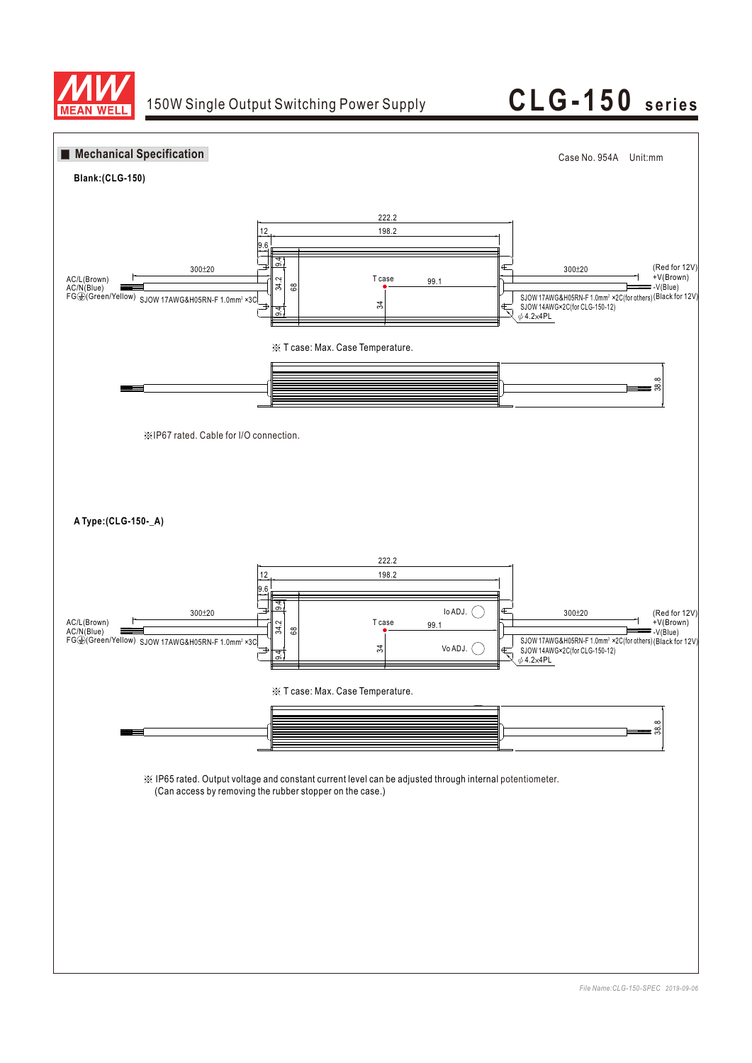

# 150W Single Output Switching Power Supply **CLG-150** series

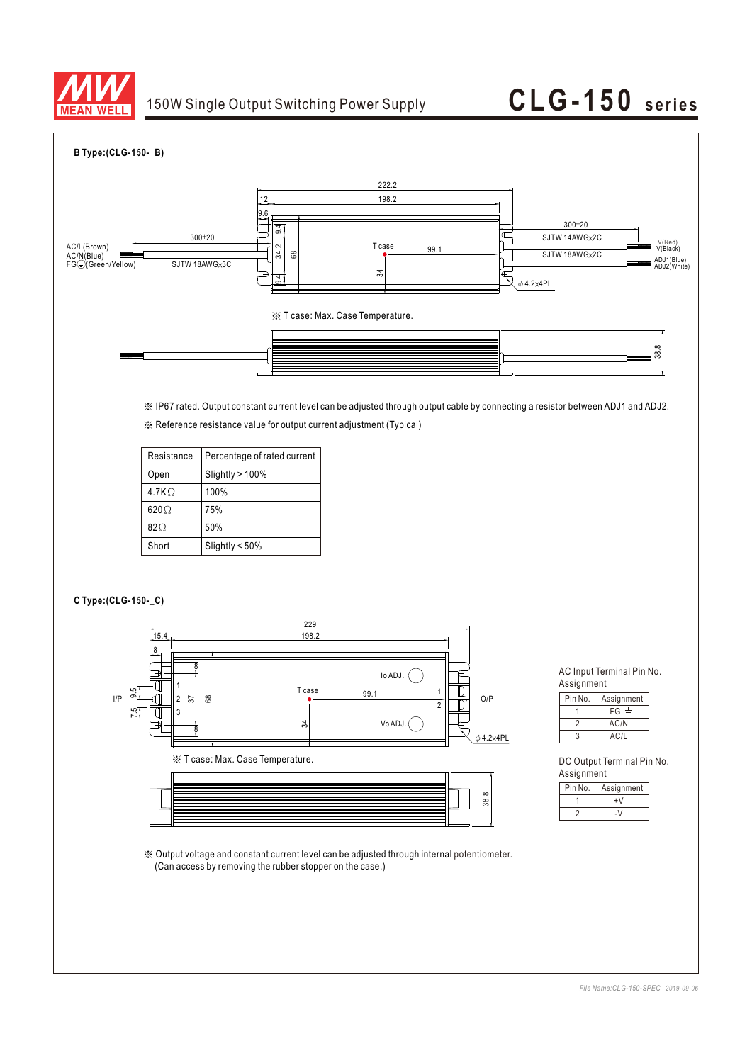

## 150W Single Output Switching Power Supply **CLG-150** series

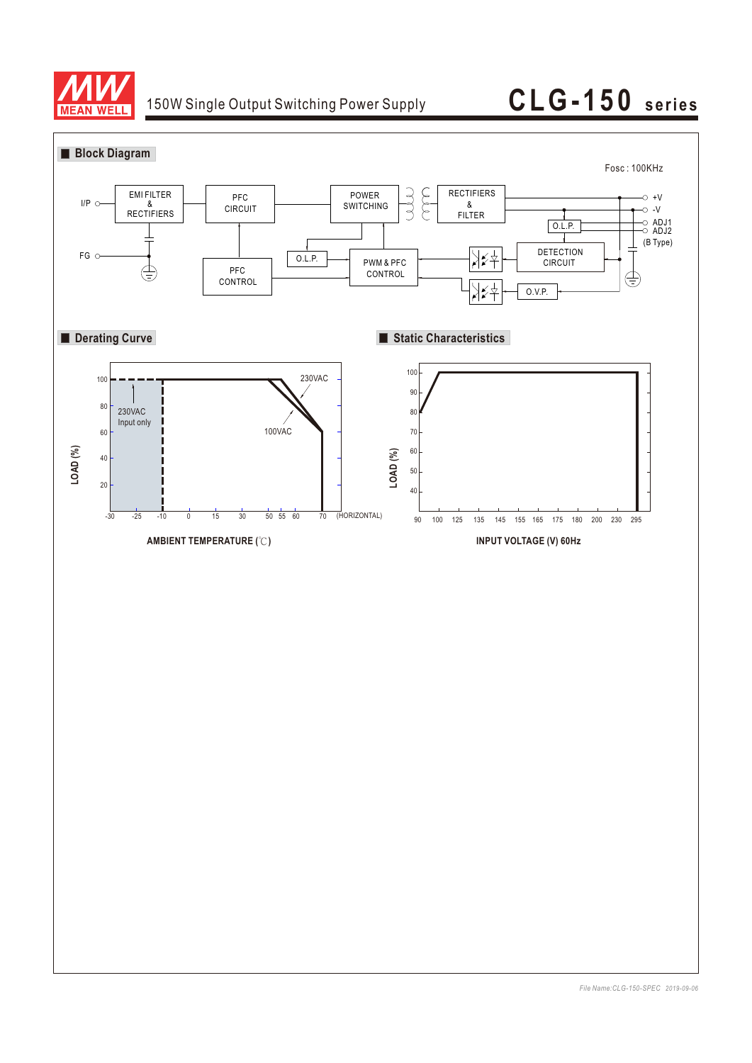

## 150W Single Output Switching Power Supply **CLG-150** series